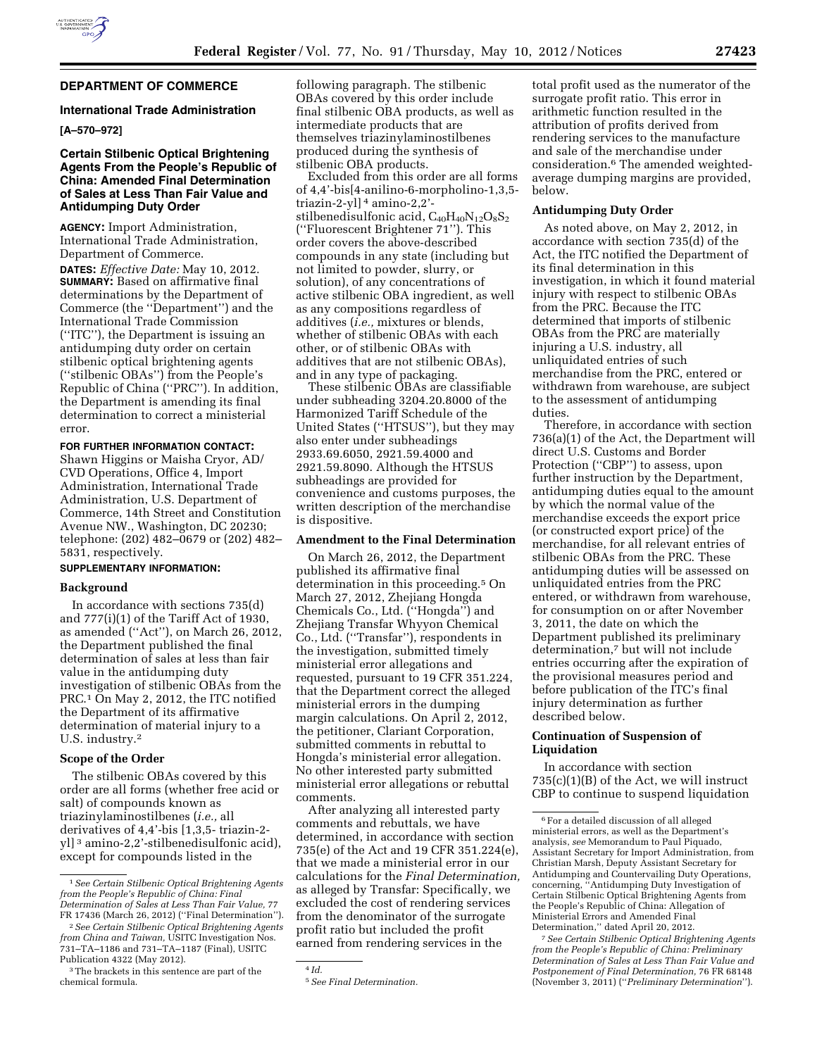

# **DEPARTMENT OF COMMERCE**

#### **International Trade Administration**

## **[A–570–972]**

## **Certain Stilbenic Optical Brightening Agents From the People's Republic of China: Amended Final Determination of Sales at Less Than Fair Value and Antidumping Duty Order**

**AGENCY:** Import Administration, International Trade Administration, Department of Commerce.

**DATES:** *Effective Date:* May 10, 2012. **SUMMARY:** Based on affirmative final determinations by the Department of Commerce (the ''Department'') and the International Trade Commission (''ITC''), the Department is issuing an antidumping duty order on certain stilbenic optical brightening agents (''stilbenic OBAs'') from the People's Republic of China (''PRC''). In addition, the Department is amending its final determination to correct a ministerial error.

### **FOR FURTHER INFORMATION CONTACT:**

Shawn Higgins or Maisha Cryor, AD/ CVD Operations, Office 4, Import Administration, International Trade Administration, U.S. Department of Commerce, 14th Street and Constitution Avenue NW., Washington, DC 20230; telephone: (202) 482–0679 or (202) 482– 5831, respectively.

## **SUPPLEMENTARY INFORMATION:**

## **Background**

In accordance with sections 735(d) and 777(i)(1) of the Tariff Act of 1930, as amended (''Act''), on March 26, 2012, the Department published the final determination of sales at less than fair value in the antidumping duty investigation of stilbenic OBAs from the PRC.1 On May 2, 2012, the ITC notified the Department of its affirmative determination of material injury to a U.S. industry.2

### **Scope of the Order**

The stilbenic OBAs covered by this order are all forms (whether free acid or salt) of compounds known as triazinylaminostilbenes (*i.e.,* all derivatives of 4,4'-bis [1,3,5- triazin-2 yl] 3 amino-2,2'-stilbenedisulfonic acid), except for compounds listed in the

following paragraph. The stilbenic OBAs covered by this order include final stilbenic OBA products, as well as intermediate products that are themselves triazinylaminostilbenes produced during the synthesis of stilbenic OBA products.

Excluded from this order are all forms of 4,4'-bis[4-anilino-6-morpholino-1,3,5 triazin-2-yl] 4 amino-2,2' stilbenedisulfonic acid,  $C_{40}H_{40}N_{12}O_8S_2$ (''Fluorescent Brightener 71''). This order covers the above-described compounds in any state (including but not limited to powder, slurry, or solution), of any concentrations of active stilbenic OBA ingredient, as well as any compositions regardless of additives (*i.e.,* mixtures or blends, whether of stilbenic OBAs with each other, or of stilbenic OBAs with additives that are not stilbenic OBAs), and in any type of packaging.

These stilbenic OBAs are classifiable under subheading 3204.20.8000 of the Harmonized Tariff Schedule of the United States (''HTSUS''), but they may also enter under subheadings 2933.69.6050, 2921.59.4000 and 2921.59.8090. Although the HTSUS subheadings are provided for convenience and customs purposes, the written description of the merchandise is dispositive.

# **Amendment to the Final Determination**

On March 26, 2012, the Department published its affirmative final determination in this proceeding.5 On March 27, 2012, Zhejiang Hongda Chemicals Co., Ltd. (''Hongda'') and Zhejiang Transfar Whyyon Chemical Co., Ltd. (''Transfar''), respondents in the investigation, submitted timely ministerial error allegations and requested, pursuant to 19 CFR 351.224, that the Department correct the alleged ministerial errors in the dumping margin calculations. On April 2, 2012, the petitioner, Clariant Corporation, submitted comments in rebuttal to Hongda's ministerial error allegation. No other interested party submitted ministerial error allegations or rebuttal comments.

After analyzing all interested party comments and rebuttals, we have determined, in accordance with section 735(e) of the Act and 19 CFR 351.224(e), that we made a ministerial error in our calculations for the *Final Determination,*  as alleged by Transfar: Specifically, we excluded the cost of rendering services from the denominator of the surrogate profit ratio but included the profit earned from rendering services in the

4 *Id.* 

total profit used as the numerator of the surrogate profit ratio. This error in arithmetic function resulted in the attribution of profits derived from rendering services to the manufacture and sale of the merchandise under consideration.6 The amended weightedaverage dumping margins are provided, below.

### **Antidumping Duty Order**

As noted above, on May 2, 2012, in accordance with section 735(d) of the Act, the ITC notified the Department of its final determination in this investigation, in which it found material injury with respect to stilbenic OBAs from the PRC. Because the ITC determined that imports of stilbenic OBAs from the PRC are materially injuring a U.S. industry, all unliquidated entries of such merchandise from the PRC, entered or withdrawn from warehouse, are subject to the assessment of antidumping duties.

Therefore, in accordance with section 736(a)(1) of the Act, the Department will direct U.S. Customs and Border Protection ("CBP") to assess, upon further instruction by the Department, antidumping duties equal to the amount by which the normal value of the merchandise exceeds the export price (or constructed export price) of the merchandise, for all relevant entries of stilbenic OBAs from the PRC. These antidumping duties will be assessed on unliquidated entries from the PRC entered, or withdrawn from warehouse, for consumption on or after November 3, 2011, the date on which the Department published its preliminary determination,7 but will not include entries occurring after the expiration of the provisional measures period and before publication of the ITC's final injury determination as further described below.

## **Continuation of Suspension of Liquidation**

In accordance with section 735(c)(1)(B) of the Act, we will instruct CBP to continue to suspend liquidation

7*See Certain Stilbenic Optical Brightening Agents from the People's Republic of China: Preliminary Determination of Sales at Less Than Fair Value and Postponement of Final Determination,* 76 FR 68148 (November 3, 2011) (''*Preliminary Determination*'').

<sup>1</sup>*See Certain Stilbenic Optical Brightening Agents from the People's Republic of China: Final Determination of Sales at Less Than Fair Value,* 77 FR 17436 (March 26, 2012) (''Final Determination'').

<sup>2</sup>*See Certain Stilbenic Optical Brightening Agents from China and Taiwan,* USITC Investigation Nos. 731–TA–1186 and 731–TA–1187 (Final), USITC Publication 4322 (May 2012).

<sup>3</sup>The brackets in this sentence are part of the chemical formula.

<sup>5</sup>*See Final Determination.* 

<sup>6</sup>For a detailed discussion of all alleged ministerial errors, as well as the Department's analysis, *see* Memorandum to Paul Piquado, Assistant Secretary for Import Administration, from Christian Marsh, Deputy Assistant Secretary for Antidumping and Countervailing Duty Operations, concerning, ''Antidumping Duty Investigation of Certain Stilbenic Optical Brightening Agents from the People's Republic of China: Allegation of Ministerial Errors and Amended Final Determination,'' dated April 20, 2012.